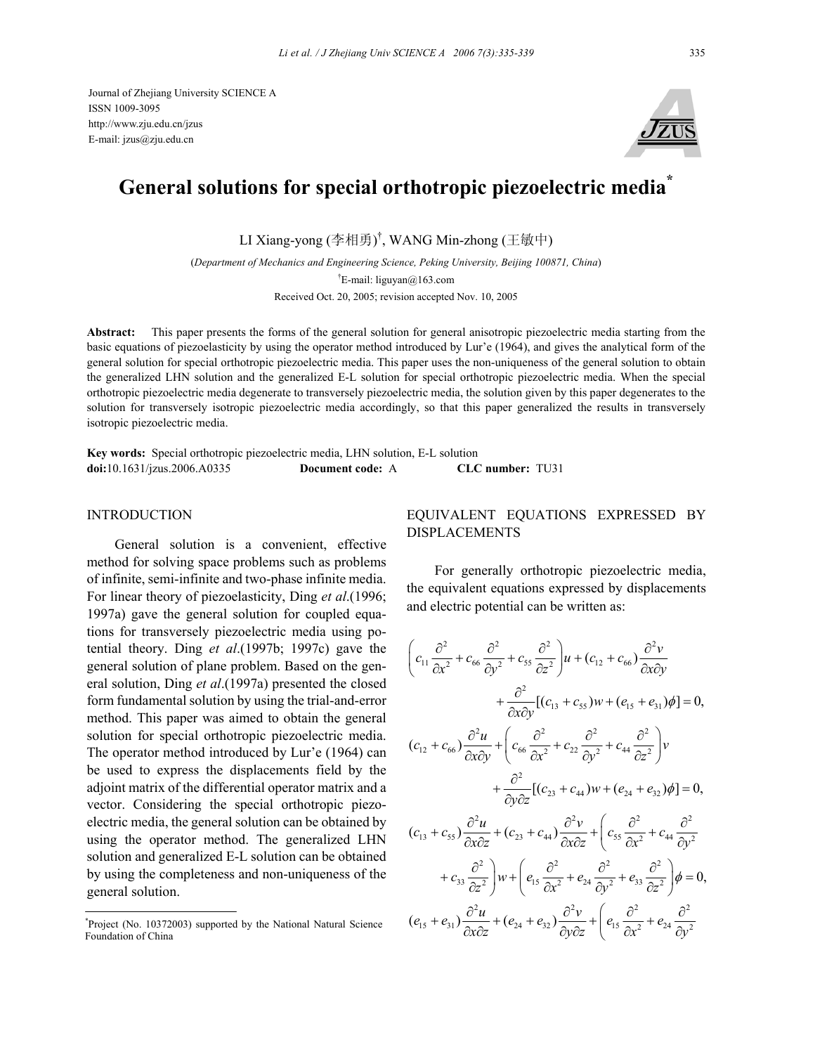

# **General solutions for special orthotropic piezoelectric media\***

LI Xiang-yong (李相勇) † , WANG Min-zhong (王敏中)

(*Department of Mechanics and Engineering Science, Peking University, Beijing 100871, China*) † E-mail: liguyan@163.com Received Oct. 20, 2005; revision accepted Nov. 10, 2005

**Abstract:** This paper presents the forms of the general solution for general anisotropic piezoelectric media starting from the basic equations of piezoelasticity by using the operator method introduced by Lur'e (1964), and gives the analytical form of the general solution for special orthotropic piezoelectric media. This paper uses the non-uniqueness of the general solution to obtain the generalized LHN solution and the generalized E-L solution for special orthotropic piezoelectric media. When the special orthotropic piezoelectric media degenerate to transversely piezoelectric media, the solution given by this paper degenerates to the solution for transversely isotropic piezoelectric media accordingly, so that this paper generalized the results in transversely isotropic piezoelectric media.

**Key words:** Special orthotropic piezoelectric media, LHN solution, E-L solution **doi:**10.1631/jzus.2006.A0335 **Document code:** A **CLC number:** TU31

#### INTRODUCTION

General solution is a convenient, effective method for solving space problems such as problems of infinite, semi-infinite and two-phase infinite media. For linear theory of piezoelasticity, Ding *et al*.(1996; 1997a) gave the general solution for coupled equations for transversely piezoelectric media using potential theory. Ding *et al*.(1997b; 1997c) gave the general solution of plane problem. Based on the general solution, Ding *et al*.(1997a) presented the closed form fundamental solution by using the trial-and-error method. This paper was aimed to obtain the general solution for special orthotropic piezoelectric media. The operator method introduced by Lur'e (1964) can be used to express the displacements field by the adjoint matrix of the differential operator matrix and a vector. Considering the special orthotropic piezoelectric media, the general solution can be obtained by using the operator method. The generalized LHN solution and generalized E-L solution can be obtained by using the completeness and non-uniqueness of the general solution.

### EQUIVALENT EQUATIONS EXPRESSED BY DISPLACEMENTS

For generally orthotropic piezoelectric media, the equivalent equations expressed by displacements and electric potential can be written as:

$$
\left(c_{11}\frac{\partial^2}{\partial x^2} + c_{66}\frac{\partial^2}{\partial y^2} + c_{55}\frac{\partial^2}{\partial z^2}\right)u + (c_{12} + c_{66})\frac{\partial^2 v}{\partial x \partial y} \n+ \frac{\partial^2}{\partial x \partial y}[(c_{13} + c_{55})w + (e_{15} + e_{31})\phi] = 0, \n(c_{12} + c_{66})\frac{\partial^2 u}{\partial x \partial y} + \left(c_{66}\frac{\partial^2}{\partial x^2} + c_{22}\frac{\partial^2}{\partial y^2} + c_{44}\frac{\partial^2}{\partial z^2}\right)v \n+ \frac{\partial^2}{\partial y \partial z}[(c_{23} + c_{44})w + (e_{24} + e_{32})\phi] = 0, \n(c_{13} + c_{55})\frac{\partial^2 u}{\partial x \partial z} + (c_{23} + c_{44})\frac{\partial^2 v}{\partial x \partial z} + \left(c_{55}\frac{\partial^2}{\partial x^2} + c_{44}\frac{\partial^2}{\partial y^2} + c_{33}\frac{\partial^2}{\partial z^2}\right)\psi + \left(e_{15}\frac{\partial^2}{\partial x^2} + e_{24}\frac{\partial^2}{\partial y^2} + e_{33}\frac{\partial^2}{\partial z^2}\right)\phi = 0, \n(e_{15} + e_{31})\frac{\partial^2 u}{\partial x \partial z} + (e_{24} + e_{32})\frac{\partial^2 v}{\partial y \partial z} + \left(e_{15}\frac{\partial^2}{\partial x^2} + e_{24}\frac{\partial^2}{\partial y^2}\right)
$$

<sup>\*</sup> Project (No. 10372003) supported by the National Natural Science Foundation of China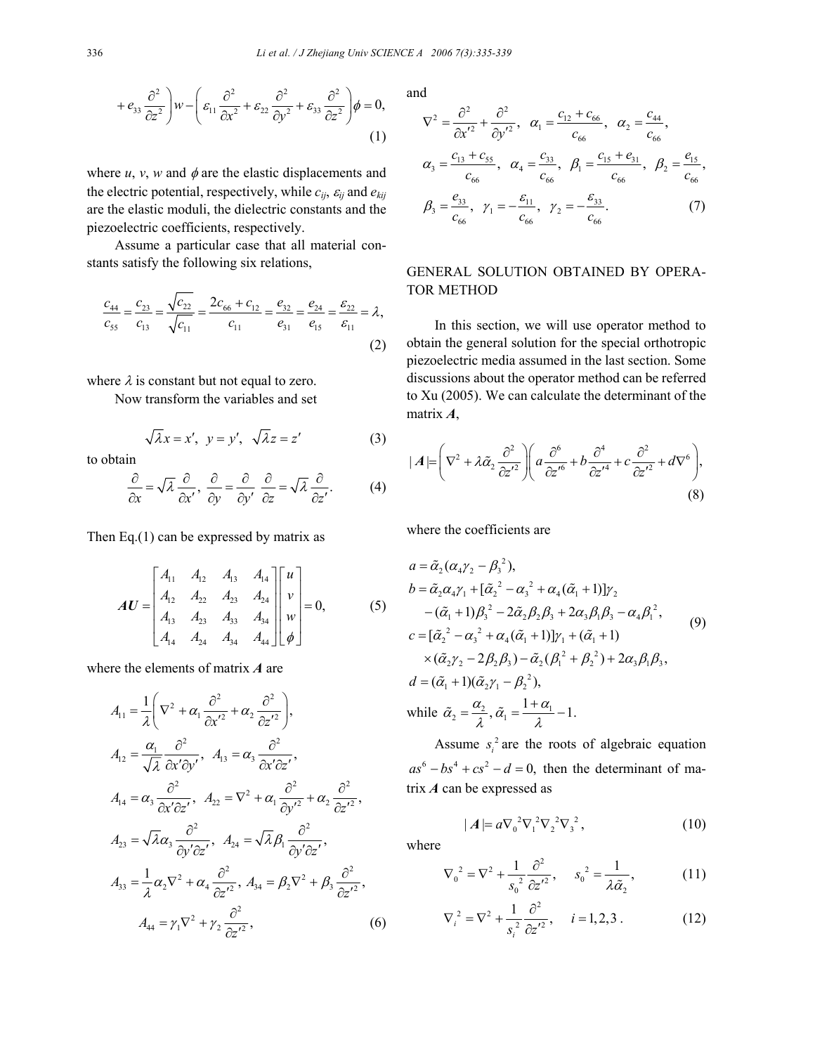$$
+e_{33}\frac{\partial^2}{\partial z^2}\bigg)w - \left(\varepsilon_{11}\frac{\partial^2}{\partial x^2} + \varepsilon_{22}\frac{\partial^2}{\partial y^2} + \varepsilon_{33}\frac{\partial^2}{\partial z^2}\right)\phi = 0,
$$
\n(1)

where  $u$ ,  $v$ ,  $w$  and  $\phi$  are the elastic displacements and the electric potential, respectively, while  $c_{ij}$ ,  $\varepsilon_{ij}$  and  $e_{kij}$ are the elastic moduli, the dielectric constants and the piezoelectric coefficients, respectively.

 Assume a particular case that all material constants satisfy the following six relations,

$$
\frac{c_{44}}{c_{55}} = \frac{c_{23}}{c_{13}} = \frac{\sqrt{c_{22}}}{\sqrt{c_{11}}} = \frac{2c_{66} + c_{12}}{c_{11}} = \frac{e_{32}}{e_{31}} = \frac{e_{24}}{e_{15}} = \frac{\varepsilon_{22}}{\varepsilon_{11}} = \lambda,
$$
\n(2)

where  $\lambda$  is constant but not equal to zero.

Now transform the variables and set

$$
\sqrt{\lambda}x = x', \ y = y', \ \sqrt{\lambda}z = z'
$$
 (3)

to obtain

$$
\frac{\partial}{\partial x} = \sqrt{\lambda} \frac{\partial}{\partial x'}, \frac{\partial}{\partial y} = \frac{\partial}{\partial y'} \frac{\partial}{\partial z} = \sqrt{\lambda} \frac{\partial}{\partial z'}.
$$
 (4)

Then Eq.(1) can be expressed by matrix as

$$
AU = \begin{bmatrix} A_{11} & A_{12} & A_{13} & A_{14} \\ A_{12} & A_{22} & A_{23} & A_{24} \\ A_{13} & A_{23} & A_{33} & A_{34} \\ A_{14} & A_{24} & A_{34} & A_{44} \end{bmatrix} \begin{bmatrix} u \\ v \\ w \\ w \end{bmatrix} = 0, \qquad (5)
$$

where the elements of matrix *A* are

$$
A_{11} = \frac{1}{\lambda} \left( \nabla^2 + \alpha_1 \frac{\partial^2}{\partial x'^2} + \alpha_2 \frac{\partial^2}{\partial z'^2} \right),
$$
  
\n
$$
A_{12} = \frac{\alpha_1}{\sqrt{\lambda}} \frac{\partial^2}{\partial x' \partial y'}, \quad A_{13} = \alpha_3 \frac{\partial^2}{\partial x' \partial z'},
$$
  
\n
$$
A_{14} = \alpha_3 \frac{\partial^2}{\partial x' \partial z'}, \quad A_{22} = \nabla^2 + \alpha_1 \frac{\partial^2}{\partial y'^2} + \alpha_2 \frac{\partial^2}{\partial z'^2},
$$
  
\n
$$
A_{23} = \sqrt{\lambda} \alpha_3 \frac{\partial^2}{\partial y' \partial z'}, \quad A_{24} = \sqrt{\lambda} \beta_1 \frac{\partial^2}{\partial y' \partial z'},
$$
  
\n
$$
A_{33} = \frac{1}{\lambda} \alpha_2 \nabla^2 + \alpha_4 \frac{\partial^2}{\partial z'^2}, \quad A_{34} = \beta_2 \nabla^2 + \beta_3 \frac{\partial^2}{\partial z'^2},
$$
  
\n
$$
A_{44} = \gamma_1 \nabla^2 + \gamma_2 \frac{\partial^2}{\partial z'^2}, \quad (6)
$$

and

$$
\nabla^{2} = \frac{\partial^{2}}{\partial x^{'2}} + \frac{\partial^{2}}{\partial y^{'2}}, \quad \alpha_{1} = \frac{c_{12} + c_{66}}{c_{66}}, \quad \alpha_{2} = \frac{c_{44}}{c_{66}},
$$
\n
$$
\alpha_{3} = \frac{c_{13} + c_{55}}{c_{66}}, \quad \alpha_{4} = \frac{c_{33}}{c_{66}}, \quad \beta_{1} = \frac{c_{15} + e_{31}}{c_{66}}, \quad \beta_{2} = \frac{e_{15}}{c_{66}},
$$
\n
$$
\beta_{3} = \frac{e_{33}}{c_{66}}, \quad \gamma_{1} = -\frac{\varepsilon_{11}}{c_{66}}, \quad \gamma_{2} = -\frac{\varepsilon_{33}}{c_{66}}.
$$
\n(7)

### GENERAL SOLUTION OBTAINED BY OPERA-TOR METHOD

In this section, we will use operator method to obtain the general solution for the special orthotropic piezoelectric media assumed in the last section. Some discussions about the operator method can be referred to Xu (2005). We can calculate the determinant of the matrix *A*,

$$
|\,A| = \left(\nabla^2 + \lambda \tilde{\alpha}_2 \frac{\partial^2}{\partial z'^2}\right) \left(a \frac{\partial^6}{\partial z'^6} + b \frac{\partial^4}{\partial z'^4} + c \frac{\partial^2}{\partial z'^2} + d\nabla^6\right),\tag{8}
$$

where the coefficients are

$$
a = \tilde{\alpha}_{2}(\alpha_{4}\gamma_{2} - \beta_{3}^{2}),
$$
  
\n
$$
b = \tilde{\alpha}_{2}\alpha_{4}\gamma_{1} + [\tilde{\alpha}_{2}^{2} - \alpha_{3}^{2} + \alpha_{4}(\tilde{\alpha}_{1} + 1)]\gamma_{2}
$$
  
\n
$$
- (\tilde{\alpha}_{1} + 1)\beta_{3}^{2} - 2\tilde{\alpha}_{2}\beta_{2}\beta_{3} + 2\alpha_{3}\beta_{1}\beta_{3} - \alpha_{4}\beta_{1}^{2},
$$
  
\n
$$
c = [\tilde{\alpha}_{2}^{2} - \alpha_{3}^{2} + \alpha_{4}(\tilde{\alpha}_{1} + 1)]\gamma_{1} + (\tilde{\alpha}_{1} + 1)
$$
  
\n
$$
\times (\tilde{\alpha}_{2}\gamma_{2} - 2\beta_{2}\beta_{3}) - \tilde{\alpha}_{2}(\beta_{1}^{2} + \beta_{2}^{2}) + 2\alpha_{3}\beta_{1}\beta_{3},
$$
  
\n
$$
d = (\tilde{\alpha}_{1} + 1)(\tilde{\alpha}_{2}\gamma_{1} - \beta_{2}^{2}),
$$
  
\nwhile  $\tilde{\alpha}_{2} = \frac{\alpha_{2}}{\lambda}, \tilde{\alpha}_{1} = \frac{1 + \alpha_{1}}{\lambda} - 1.$ 

Assume  $s_i^2$  are the roots of algebraic equation  $as^6 - bs^4 + cs^2 - d = 0$ , then the determinant of matrix *A* can be expressed as

$$
|A| = a \nabla_0^2 \nabla_1^2 \nabla_2^2 \nabla_3^2, \qquad (10)
$$

where

$$
\nabla_0^2 = \nabla^2 + \frac{1}{s_0^2} \frac{\partial^2}{\partial z'^2}, \quad s_0^2 = \frac{1}{\lambda \tilde{\alpha}_2}, \quad (11)
$$

$$
\nabla_i^2 = \nabla^2 + \frac{1}{s_i^2} \frac{\partial^2}{\partial z'^2}, \quad i = 1, 2, 3. \tag{12}
$$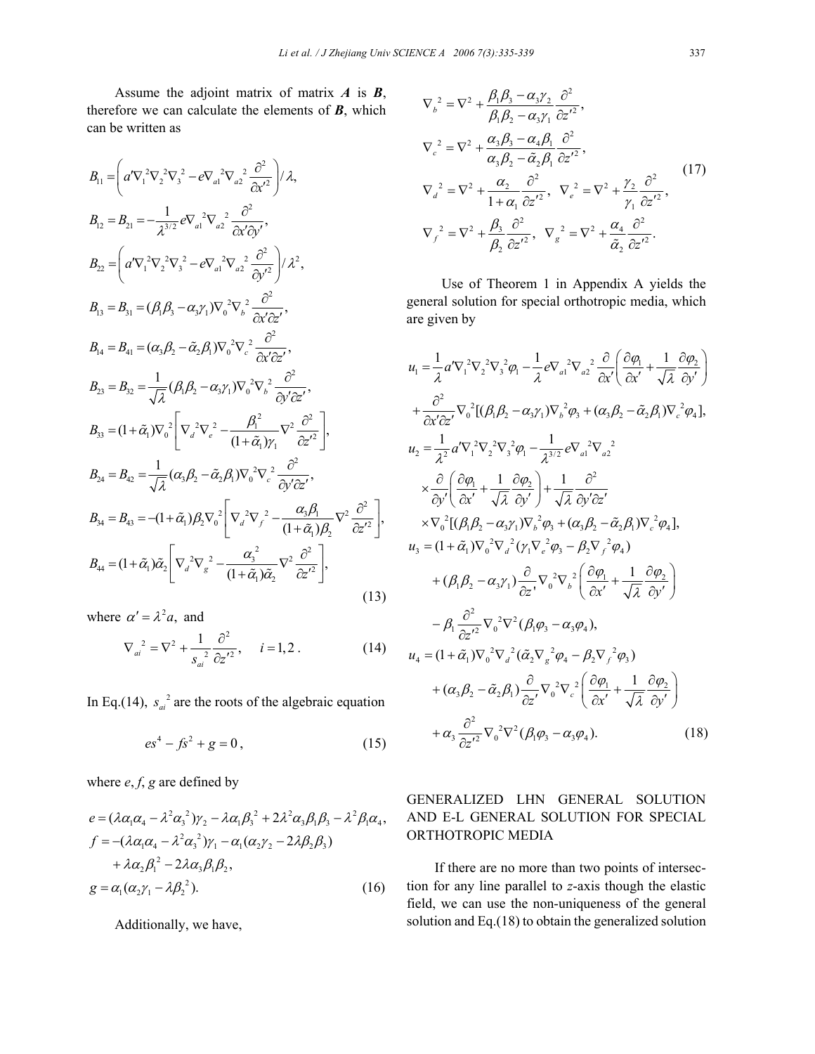Assume the adjoint matrix of matrix *A* is *B*, therefore we can calculate the elements of *B*, which can be written as

$$
B_{11} = \left(a'\nabla_{1}^{2}\nabla_{2}^{2}\nabla_{3}^{2} - e\nabla_{a1}^{2}\nabla_{a2}^{2}\frac{\partial^{2}}{\partial x'^{2}}\right)/\lambda,
$$
  
\n
$$
B_{12} = B_{21} = -\frac{1}{\lambda^{3/2}}e\nabla_{a1}^{2}\nabla_{a2}^{2}\frac{\partial^{2}}{\partial x'\partial y'},
$$
  
\n
$$
B_{22} = \left(a'\nabla_{1}^{2}\nabla_{2}^{2}\nabla_{3}^{2} - e\nabla_{a1}^{2}\nabla_{a2}^{2}\frac{\partial^{2}}{\partial y'^{2}}\right)/\lambda^{2},
$$
  
\n
$$
B_{13} = B_{31} = (\beta_{1}\beta_{3} - \alpha_{3}\gamma_{1})\nabla_{0}^{2}\nabla_{b}^{2}\frac{\partial^{2}}{\partial x'\partial z'},
$$
  
\n
$$
B_{14} = B_{41} = (\alpha_{3}\beta_{2} - \tilde{\alpha}_{2}\beta_{1})\nabla_{0}^{2}\nabla_{c}^{2}\frac{\partial^{2}}{\partial x'\partial z'},
$$
  
\n
$$
B_{23} = B_{32} = \frac{1}{\sqrt{\lambda}}(\beta_{1}\beta_{2} - \alpha_{3}\gamma_{1})\nabla_{0}^{2}\nabla_{b}^{2}\frac{\partial^{2}}{\partial y'\partial z'},
$$
  
\n
$$
B_{33} = (1 + \tilde{\alpha}_{1})\nabla_{0}^{2}\left[\nabla_{a}^{2}\nabla_{e}^{2} - \frac{\beta_{1}^{2}}{(1 + \tilde{\alpha}_{1})\gamma_{1}}\nabla_{2}^{2}\frac{\partial^{2}}{\partial y'\partial z'},
$$
  
\n
$$
B_{24} = B_{42} = \frac{1}{\sqrt{\lambda}}(\alpha_{3}\beta_{2} - \tilde{\alpha}_{2}\beta_{1})\nabla_{0}^{2}\nabla_{c}^{2}\frac{\partial^{2}}{\partial y'\partial z'},
$$
  
\n
$$
B_{34} = B_{43} = -(1 + \tilde{\alpha}_{1})\beta_{2}\nabla_{0}^{2}\left[\nabla_{a}^{2}\nabla_{f}^{2} - \frac{\alpha_{3}\beta_{1}}{(1 +
$$

where  $\alpha' = \lambda^2 a$ , and

$$
\nabla_{ai}^{2} = \nabla^{2} + \frac{1}{s_{ai}^{2}} \frac{\partial^{2}}{\partial z^{'2}}, \quad i = 1, 2.
$$
 (14)

In Eq.(14),  $s_{ai}^2$  are the roots of the algebraic equation

$$
es^4 - fs^2 + g = 0, \t(15)
$$

where *e*, *f*, *g* are defined by

$$
e = (\lambda \alpha_1 \alpha_4 - \lambda^2 \alpha_3^2) \gamma_2 - \lambda \alpha_1 \beta_3^2 + 2 \lambda^2 \alpha_3 \beta_1 \beta_3 - \lambda^2 \beta_1 \alpha_4,
$$
  
\n
$$
f = -(\lambda \alpha_1 \alpha_4 - \lambda^2 \alpha_3^2) \gamma_1 - \alpha_1 (\alpha_2 \gamma_2 - 2 \lambda \beta_2 \beta_3)
$$
  
\n
$$
+ \lambda \alpha_2 \beta_1^2 - 2 \lambda \alpha_3 \beta_1 \beta_2,
$$
  
\n
$$
g = \alpha_1 (\alpha_2 \gamma_1 - \lambda \beta_2^2).
$$
 (16)

Additionally, we have,

$$
\nabla_{b}^{2} = \nabla^{2} + \frac{\beta_{1}\beta_{3} - \alpha_{3}\gamma_{2}}{\beta_{1}\beta_{2} - \alpha_{3}\gamma_{1}} \frac{\partial^{2}}{\partial z^{\prime 2}},
$$
\n
$$
\nabla_{c}^{2} = \nabla^{2} + \frac{\alpha_{3}\beta_{3} - \alpha_{4}\beta_{1}}{\alpha_{3}\beta_{2} - \tilde{\alpha}_{2}\beta_{1}} \frac{\partial^{2}}{\partial z^{\prime 2}},
$$
\n
$$
\nabla_{d}^{2} = \nabla^{2} + \frac{\alpha_{2}}{1 + \alpha_{1}} \frac{\partial^{2}}{\partial z^{\prime 2}}, \quad \nabla_{e}^{2} = \nabla^{2} + \frac{\gamma_{2}}{\gamma_{1}} \frac{\partial^{2}}{\partial z^{\prime 2}},
$$
\n
$$
\nabla_{f}^{2} = \nabla^{2} + \frac{\beta_{3}}{\beta_{2}} \frac{\partial^{2}}{\partial z^{\prime 2}}, \quad \nabla_{g}^{2} = \nabla^{2} + \frac{\alpha_{4}}{\tilde{\alpha}_{2}} \frac{\partial^{2}}{\partial z^{\prime 2}}.
$$
\n(17)

Use of Theorem 1 in Appendix A yields the general solution for special orthotropic media, which are given by

$$
u_{1} = \frac{1}{\lambda} a' \nabla_{1}^{2} \nabla_{2}^{2} \nabla_{3}^{2} \varphi_{1} - \frac{1}{\lambda} e \nabla_{a1}^{2} \nabla_{a2}^{2} \frac{\partial}{\partial x'} \left( \frac{\partial \varphi_{1}}{\partial x'} + \frac{1}{\sqrt{\lambda}} \frac{\partial \varphi_{2}}{\partial y'} \right) + \frac{\partial^{2}}{\partial x' \partial z'} \nabla_{0}^{2} [(\beta_{1} \beta_{2} - \alpha_{3} \gamma_{1}) \nabla_{b}^{2} \varphi_{3} + (\alpha_{3} \beta_{2} - \tilde{\alpha}_{2} \beta_{1}) \nabla_{c}^{2} \varphi_{4}],
$$
  
\n
$$
u_{2} = \frac{1}{\lambda^{2}} a' \nabla_{1}^{2} \nabla_{2}^{2} \nabla_{3}^{2} \varphi_{1} - \frac{1}{\lambda^{3/2}} e \nabla_{a1}^{2} \nabla_{a2}^{2} \n\times \frac{\partial}{\partial y'} \left( \frac{\partial \varphi_{1}}{\partial x'} + \frac{1}{\sqrt{\lambda}} \frac{\partial \varphi_{2}}{\partial y'} \right) + \frac{1}{\sqrt{\lambda}} \frac{\partial^{2}}{\partial y' \partial z'} \n\times \nabla_{0}^{2} [(\beta_{1} \beta_{2} - \alpha_{3} \gamma_{1}) \nabla_{b}^{2} \varphi_{3} + (\alpha_{3} \beta_{2} - \tilde{\alpha}_{2} \beta_{1}) \nabla_{c}^{2} \varphi_{4}],
$$
  
\n
$$
u_{3} = (1 + \tilde{\alpha}_{1}) \nabla_{0}^{2} \nabla_{d}^{2} (\gamma_{1} \nabla_{e}^{2} \varphi_{3} - \beta_{2} \nabla_{f}^{2} \varphi_{4}) + (\beta_{1} \beta_{2} - \alpha_{3} \gamma_{1}) \frac{\partial}{\partial z'} \nabla_{0}^{2} \nabla_{b}^{2} \left( \frac{\partial \varphi_{1}}{\partial x'} + \frac{1}{\sqrt{\lambda}} \frac{\partial \varphi_{2}}{\partial y'} \right) - \beta_{1} \frac{\partial^{2}}{\partial z'^{2}} \nabla_{0}^{2} \nabla^{2} (\beta_{1}
$$

## GENERALIZED LHN GENERAL SOLUTION AND E-L GENERAL SOLUTION FOR SPECIAL ORTHOTROPIC MEDIA

If there are no more than two points of intersection for any line parallel to *z*-axis though the elastic field, we can use the non-uniqueness of the general solution and Eq.(18) to obtain the generalized solution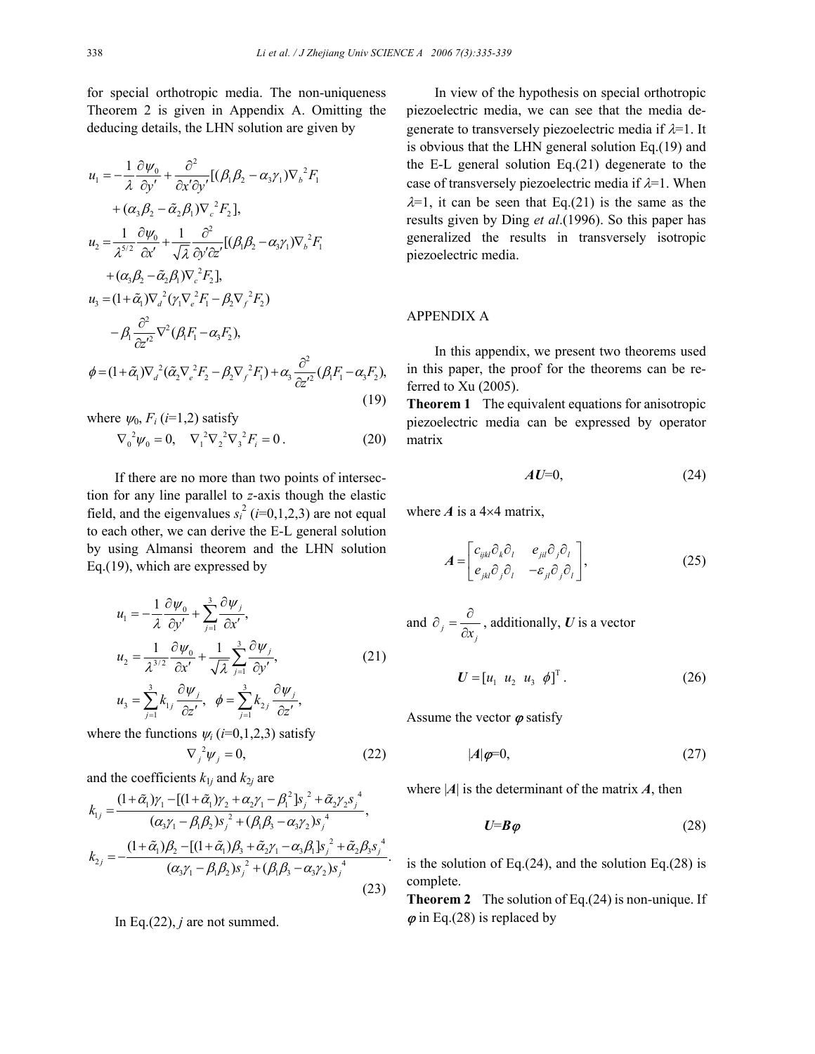for special orthotropic media. The non-uniqueness Theorem 2 is given in Appendix A. Omitting the deducing details, the LHN solution are given by

$$
u_1 = -\frac{1}{\lambda} \frac{\partial \psi_0}{\partial y'} + \frac{\partial^2}{\partial x' \partial y'} [(\beta_1 \beta_2 - \alpha_3 \gamma_1) \nabla_b^2 F_1 + (\alpha_3 \beta_2 - \tilde{\alpha}_2 \beta_1) \nabla_c^2 F_2],
$$
  
\n
$$
u_2 = \frac{1}{\lambda^{5/2}} \frac{\partial \psi_0}{\partial x'} + \frac{1}{\sqrt{\lambda}} \frac{\partial^2}{\partial y' \partial z'} [(\beta_1 \beta_2 - \alpha_3 \gamma_1) \nabla_b^2 F_1 + (\alpha_3 \beta_2 - \tilde{\alpha}_2 \beta_1) \nabla_c^2 F_2],
$$
  
\n
$$
u_3 = (1 + \tilde{\alpha}_1) \nabla_d^2 (\gamma_1 \nabla_e^2 F_1 - \beta_2 \nabla_f^2 F_2) - \beta_1 \frac{\partial^2}{\partial z'^2} \nabla^2 (\beta_1 F_1 - \alpha_3 F_2),
$$
  
\n
$$
\phi = (1 + \tilde{\alpha}_1) \nabla_d^2 (\tilde{\alpha}_2 \nabla_e^2 F_2 - \beta_2 \nabla_f^2 F_1) + \alpha_3 \frac{\partial^2}{\partial z'^2} (\beta_1 F_1 - \alpha_3 F_2),
$$
  
\n(19)

where  $\psi_0$ ,  $F_i$  (*i*=1,2) satisfy  $\nabla_0^2 \psi_0 = 0, \quad \nabla_1^2 \nabla_2^2 \nabla_3^2 F_i = 0.$ (20)

If there are no more than two points of intersection for any line parallel to *z*-axis though the elastic field, and the eigenvalues  $s_i^2$  (*i*=0,1,2,3) are not equal to each other, we can derive the E-L general solution by using Almansi theorem and the LHN solution Eq.(19), which are expressed by

$$
u_1 = -\frac{1}{\lambda} \frac{\partial \psi_0}{\partial y'} + \sum_{j=1}^3 \frac{\partial \psi_j}{\partial x'},
$$
  
\n
$$
u_2 = \frac{1}{\lambda^{3/2}} \frac{\partial \psi_0}{\partial x'} + \frac{1}{\sqrt{\lambda}} \sum_{j=1}^3 \frac{\partial \psi_j}{\partial y'},
$$
  
\n
$$
u_3 = \sum_{j=1}^3 k_{1j} \frac{\partial \psi_j}{\partial z'}, \quad \phi = \sum_{j=1}^3 k_{2j} \frac{\partial \psi_j}{\partial z'},
$$
\n(21)

where the functions  $\psi_i$  (*i*=0,1,2,3) satisfy

$$
\nabla_j^2 \psi_j = 0,\tag{22}
$$

and the coefficients  $k_{1j}$  and  $k_{2j}$  are

$$
k_{1j} = \frac{(1+\tilde{\alpha}_1)\gamma_1 - [(1+\tilde{\alpha}_1)\gamma_2 + \alpha_2\gamma_1 - \beta_1^2]s_j^2 + \tilde{\alpha}_2\gamma_2s_j^4}{(\alpha_3\gamma_1 - \beta_1\beta_2)s_j^2 + (\beta_1\beta_3 - \alpha_3\gamma_2)s_j^4},
$$
  
\n
$$
k_{2j} = -\frac{(1+\tilde{\alpha}_1)\beta_2 - [(1+\tilde{\alpha}_1)\beta_3 + \tilde{\alpha}_2\gamma_1 - \alpha_3\beta_1]s_j^2 + \tilde{\alpha}_2\beta_3s_j^4}{(\alpha_3\gamma_1 - \beta_1\beta_2)s_j^2 + (\beta_1\beta_3 - \alpha_3\gamma_2)s_j^4}.
$$
\n(23)

In Eq. $(22)$ , *j* are not summed.

In view of the hypothesis on special orthotropic piezoelectric media, we can see that the media degenerate to transversely piezoelectric media if  $\lambda=1$ . It is obvious that the LHN general solution Eq.(19) and the E-L general solution Eq.(21) degenerate to the case of transversely piezoelectric media if  $\lambda=1$ . When  $\lambda=1$ , it can be seen that Eq.(21) is the same as the results given by Ding *et al*.(1996). So this paper has generalized the results in transversely isotropic piezoelectric media.

#### APPENDIX A

In this appendix, we present two theorems used in this paper, the proof for the theorems can be referred to Xu (2005).

**Theorem 1** The equivalent equations for anisotropic piezoelectric media can be expressed by operator matrix

$$
AU=0,\t(24)
$$

where  $\vec{A}$  is a 4×4 matrix,

$$
A = \begin{bmatrix} c_{ijkl}\partial_k \partial_l & e_{jil}\partial_j \partial_l \\ e_{jkl}\partial_j \partial_l & -\varepsilon_{jl}\partial_j \partial_l \end{bmatrix},
$$
(25)

and 
$$
\partial_j = \frac{\partial}{\partial x_j}
$$
, additionally, U is a vector

$$
\boldsymbol{U} = \begin{bmatrix} u_1 & u_2 & u_3 & \phi \end{bmatrix}^\mathrm{T} . \tag{26}
$$

Assume the vector  $\varphi$  satisfy

$$
|A|\boldsymbol{\varphi}=0,\tag{27}
$$

where  $|A|$  is the determinant of the matrix  $A$ , then

$$
U = B\varphi \tag{28}
$$

is the solution of Eq. $(24)$ , and the solution Eq. $(28)$  is complete.

**Theorem 2** The solution of Eq.(24) is non-unique. If  $\varphi$  in Eq.(28) is replaced by